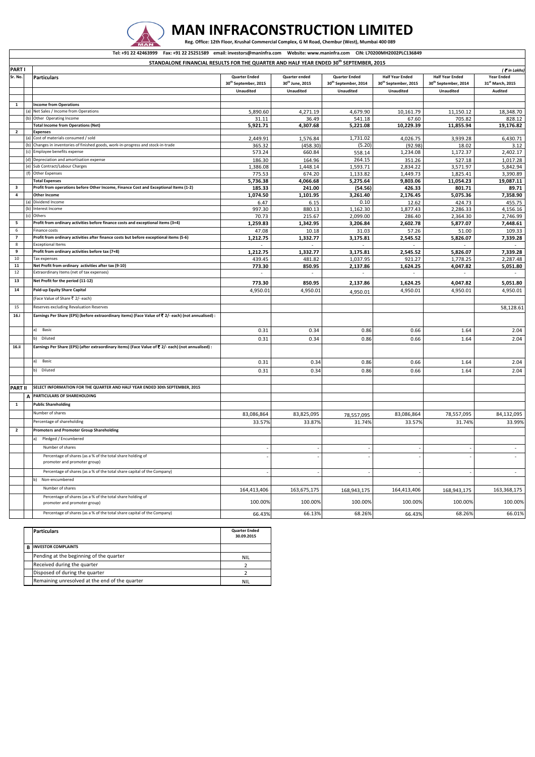

|    | <b>Particulars</b>                             | <b>Quarter Ended</b><br>30.09.2015 |
|----|------------------------------------------------|------------------------------------|
| B. | <b>INVESTOR COMPLAINTS</b>                     |                                    |
|    | Pending at the beginning of the quarter        | NIL                                |
|    | Received during the quarter                    |                                    |
|    | Disposed of during the quarter                 |                                    |
|    | Remaining unresolved at the end of the quarter | NIL                                |

|                                                                                                             | Tel: +91 22 42463999  Fax: +91 22 25251589  email: investors@maninfra.com  Website: www.maninfra.com  CIN: L70200MH2002PLC136849 |                                                                                                                       |                                  |                             |                                  |                                  |                                  |                                        |  |  |
|-------------------------------------------------------------------------------------------------------------|----------------------------------------------------------------------------------------------------------------------------------|-----------------------------------------------------------------------------------------------------------------------|----------------------------------|-----------------------------|----------------------------------|----------------------------------|----------------------------------|----------------------------------------|--|--|
| STANDALONE FINANCIAL RESULTS FOR THE QUARTER AND HALF YEAR ENDED 30 <sup>th</sup> SEPTEMBER, 2015<br>PART I |                                                                                                                                  |                                                                                                                       |                                  |                             |                                  |                                  |                                  |                                        |  |  |
| Sr. No.                                                                                                     |                                                                                                                                  | <b>Particulars</b>                                                                                                    | <b>Quarter Ended</b>             | Quarter ended               | <b>Quarter Ended</b>             | <b>Half Year Ended</b>           | <b>Half Year Ended</b>           | $\zeta$ in Lakhs)<br><b>Year Ended</b> |  |  |
|                                                                                                             |                                                                                                                                  |                                                                                                                       | 30 <sup>th</sup> September, 2015 | 30 <sup>th</sup> June, 2015 | 30 <sup>th</sup> September, 2014 | 30 <sup>th</sup> September, 2015 | 30 <sup>th</sup> September, 2014 | 31st March, 2015                       |  |  |
|                                                                                                             |                                                                                                                                  |                                                                                                                       | Unaudited                        | <b>Unaudited</b>            | <b>Unaudited</b>                 | Unaudited                        | <b>Unaudited</b>                 | <b>Audited</b>                         |  |  |
|                                                                                                             |                                                                                                                                  |                                                                                                                       |                                  |                             |                                  |                                  |                                  |                                        |  |  |
| 1                                                                                                           |                                                                                                                                  | <b>Income from Operations</b><br>(a) Net Sales / Income from Operations                                               |                                  | 4,271.19                    | 4,679.90                         | 10,161.79                        | 11,150.12                        | 18,348.70                              |  |  |
|                                                                                                             |                                                                                                                                  | (b) Other Operating Income                                                                                            | 5,890.60<br>31.11                | 36.49                       | 541.18                           | 67.60                            | 705.82                           | 828.12                                 |  |  |
|                                                                                                             |                                                                                                                                  | <b>Total Income from Operations (Net)</b>                                                                             | 5,921.71                         | 4,307.68                    | 5,221.08                         | 10,229.39                        | 11,855.94                        | 19,176.82                              |  |  |
| $\overline{2}$                                                                                              |                                                                                                                                  | <b>Expenses</b>                                                                                                       |                                  |                             |                                  |                                  |                                  |                                        |  |  |
|                                                                                                             |                                                                                                                                  | (a) Cost of materials consumed / sold                                                                                 | 2,449.91                         | 1,576.84                    | 1,731.02                         | 4,026.75                         | 3,939.28                         | 6,430.71                               |  |  |
|                                                                                                             |                                                                                                                                  | (b) Changes in inventories of finished goods, work-in-progress and stock-in-trade                                     | 365.32                           | (458.30)                    | (5.20)                           | (92.98)                          | 18.02                            | 3.12                                   |  |  |
|                                                                                                             |                                                                                                                                  | (c) Employee benefits expense                                                                                         | 573.24                           | 660.84                      | 558.14                           | 1,234.08                         | 1,172.37                         | 2,402.17                               |  |  |
|                                                                                                             |                                                                                                                                  | (d) Depreciation and amortisation expense                                                                             | 186.30                           | 164.96                      | 264.15                           | 351.26                           | 527.18                           | 1,017.28                               |  |  |
|                                                                                                             |                                                                                                                                  | (e) Sub Contract/Labour Charges<br>(f) Other Expenses                                                                 | 1,386.08<br>775.53               | 1,448.14<br>674.20          | 1,593.71                         | 2,834.22<br>1,449.73             | 3,571.97<br>1,825.41             | 5,842.94<br>3,390.89                   |  |  |
|                                                                                                             |                                                                                                                                  | <b>Total Expenses</b>                                                                                                 | 5,736.38                         | 4,066.68                    | 1,133.82<br>5,275.64             | 9,803.06                         | 11,054.23                        | 19,087.11                              |  |  |
| $\mathbf{3}$                                                                                                |                                                                                                                                  | Profit from operations before Other Income, Finance Cost and Exceptional Items (1-2)                                  | 185.33                           | 241.00                      | (54.56)                          | 426.33                           | 801.71                           | 89.71                                  |  |  |
| $\overline{a}$                                                                                              |                                                                                                                                  | Other Income                                                                                                          | 1,074.50                         | 1,101.95                    | 3,261.40                         | 2.176.45                         | 5,075.36                         | 7,358.90                               |  |  |
|                                                                                                             |                                                                                                                                  | (a) Dividend Income                                                                                                   | 6.47                             | 6.15                        | 0.10                             | 12.62                            | 424.73                           | 455.75                                 |  |  |
|                                                                                                             |                                                                                                                                  | (b) Interest Income                                                                                                   | 997.30                           | 880.13                      | 1,162.30                         | 1,877.43                         | 2,286.33                         | 4,156.16                               |  |  |
|                                                                                                             | (c)                                                                                                                              | Others                                                                                                                | 70.73                            | 215.67                      | 2,099.00                         | 286.40                           | 2,364.30                         | 2,746.99                               |  |  |
| 5                                                                                                           |                                                                                                                                  | Profit from ordinary activities before finance costs and exceptional items (3+4)                                      | 1,259.83                         | 1,342.95                    | 3,206.84                         | 2,602.78                         | 5,877.07                         | 7,448.61                               |  |  |
| 6                                                                                                           |                                                                                                                                  | Finance costs                                                                                                         | 47.08                            | 10.18                       | 31.03                            | 57.26                            | 51.00                            | 109.33                                 |  |  |
| $\overline{7}$                                                                                              |                                                                                                                                  | Profit from ordinary activities after finance costs but before exceptional items (5-6)                                | 1,212.75                         | 1,332.77                    | 3,175.81                         | 2,545.52                         | 5,826.07                         | 7,339.28                               |  |  |
| 8                                                                                                           |                                                                                                                                  | <b>Exceptional Items</b>                                                                                              |                                  |                             |                                  |                                  |                                  |                                        |  |  |
| 9<br>10                                                                                                     |                                                                                                                                  | Profit from ordinary activities before tax (7+8)<br>Tax expenses                                                      | 1,212.75                         | 1,332.77                    | 3,175.81                         | 2,545.52                         | 5,826.07                         | 7,339.28                               |  |  |
| 11                                                                                                          |                                                                                                                                  | Net Profit from ordinary activities after tax (9-10)                                                                  | 439.45                           | 481.82                      | 1,037.95                         | 921.27                           | 1,778.25                         | 2,287.48                               |  |  |
| 12                                                                                                          |                                                                                                                                  | Extraordinary Items (net of tax expenses)                                                                             | 773.30                           | 850.95                      | 2,137.86                         | 1,624.25                         | 4,047.82                         | 5,051.80                               |  |  |
| 13                                                                                                          |                                                                                                                                  | Net Profit for the period (11-12)                                                                                     |                                  |                             |                                  |                                  |                                  |                                        |  |  |
|                                                                                                             |                                                                                                                                  |                                                                                                                       | 773.30                           | 850.95                      | 2,137.86                         | 1,624.25                         | 4,047.82                         | 5,051.80                               |  |  |
| 14                                                                                                          |                                                                                                                                  | Paid-up Equity Share Capital                                                                                          | 4,950.01                         | 4,950.01                    | 4,950.01                         | 4,950.01                         | 4,950.01                         | 4,950.01                               |  |  |
|                                                                                                             |                                                                                                                                  | (Face Value of Share ₹ 2/- each)                                                                                      |                                  |                             |                                  |                                  |                                  |                                        |  |  |
| 15                                                                                                          |                                                                                                                                  | Reserves excluding Revaluation Reserves                                                                               |                                  |                             |                                  |                                  |                                  | 58,128.61                              |  |  |
| 16.i                                                                                                        |                                                                                                                                  | Earnings Per Share (EPS) (before extraordinary items) (Face Value of ₹ 2/- each) (not annualised) :                   |                                  |                             |                                  |                                  |                                  |                                        |  |  |
|                                                                                                             |                                                                                                                                  | Basic<br>a)                                                                                                           | 0.31                             | 0.34                        | 0.86                             | 0.66                             | 1.64                             | 2.04                                   |  |  |
|                                                                                                             |                                                                                                                                  | b) Diluted                                                                                                            | 0.31                             | 0.34                        | 0.86                             | 0.66                             | 1.64                             | 2.04                                   |  |  |
| 16.ii                                                                                                       |                                                                                                                                  | Earnings Per Share (EPS) (after extraordinary items) (Face Value of $\bar{\mathfrak{r}}$ 2/- each) (not annualised) : |                                  |                             |                                  |                                  |                                  |                                        |  |  |
|                                                                                                             |                                                                                                                                  | Basic<br>a)                                                                                                           | 0.31                             | 0.34                        | 0.86                             | 0.66                             | 1.64                             | 2.04                                   |  |  |
|                                                                                                             |                                                                                                                                  | Diluted<br>b).                                                                                                        | 0.31                             | 0.34                        | 0.86                             | 0.66                             | 1.64                             | 2.04                                   |  |  |
|                                                                                                             |                                                                                                                                  |                                                                                                                       |                                  |                             |                                  |                                  |                                  |                                        |  |  |
| <b>PART II</b>                                                                                              |                                                                                                                                  | SELECT INFORMATION FOR THE QUARTER AND HALF YEAR ENDED 30th SEPTEMBER, 2015                                           |                                  |                             |                                  |                                  |                                  |                                        |  |  |
|                                                                                                             | A                                                                                                                                | PARTICULARS OF SHAREHOLDING                                                                                           |                                  |                             |                                  |                                  |                                  |                                        |  |  |
| 1                                                                                                           |                                                                                                                                  | <b>Public Shareholding</b>                                                                                            |                                  |                             |                                  |                                  |                                  |                                        |  |  |
|                                                                                                             |                                                                                                                                  | Number of shares                                                                                                      |                                  |                             |                                  |                                  |                                  |                                        |  |  |
|                                                                                                             |                                                                                                                                  | Percentage of shareholding                                                                                            | 83,086,864                       | 83,825,095                  | 78,557,095                       | 83,086,864                       | 78,557,095                       | 84,132,095                             |  |  |
|                                                                                                             |                                                                                                                                  |                                                                                                                       | 33.57%                           | 33.87%                      | 31.74%                           | 33.57%                           | 31.74%                           | 33.99%                                 |  |  |
| $\overline{2}$                                                                                              |                                                                                                                                  | Promoters and Promoter Group Shareholding                                                                             |                                  |                             |                                  |                                  |                                  |                                        |  |  |
|                                                                                                             |                                                                                                                                  | Pledged / Encumbered                                                                                                  |                                  |                             |                                  |                                  |                                  |                                        |  |  |
|                                                                                                             |                                                                                                                                  | Number of shares                                                                                                      |                                  |                             |                                  |                                  |                                  |                                        |  |  |
|                                                                                                             |                                                                                                                                  | Percentage of shares (as a % of the total share holding of<br>promoter and promoter group)                            |                                  |                             |                                  |                                  |                                  |                                        |  |  |
|                                                                                                             |                                                                                                                                  | Percentage of shares (as a % of the total share capital of the Company)                                               |                                  |                             |                                  |                                  |                                  | $\sim$                                 |  |  |
|                                                                                                             |                                                                                                                                  | Non-encumbered<br>b)                                                                                                  |                                  |                             |                                  |                                  |                                  |                                        |  |  |
|                                                                                                             |                                                                                                                                  | Number of shares                                                                                                      | 164,413,406                      | 163,675,175                 | 168,943,175                      | 164,413,406                      | 168,943,175                      | 163,368,175                            |  |  |
|                                                                                                             |                                                                                                                                  | Percentage of shares (as a % of the total share holding of<br>promoter and promoter group)                            | 100.00%                          | 100.00%                     | 100.00%                          | 100.00%                          | 100.00%                          | 100.00%                                |  |  |
|                                                                                                             |                                                                                                                                  | Percentage of shares (as a % of the total share capital of the Company)                                               | 66.43%                           | 66.13%                      | 68.26%                           | 66.43%                           | 68.26%                           | 66.01%                                 |  |  |
|                                                                                                             |                                                                                                                                  |                                                                                                                       |                                  |                             |                                  |                                  |                                  |                                        |  |  |

## **MAN INFRACONSTRUCTION LIMITED**

Reg. Office: 12th Floor, Krushal Commercial Complex, G M Road, Chembur (West), Mumbai 400 089